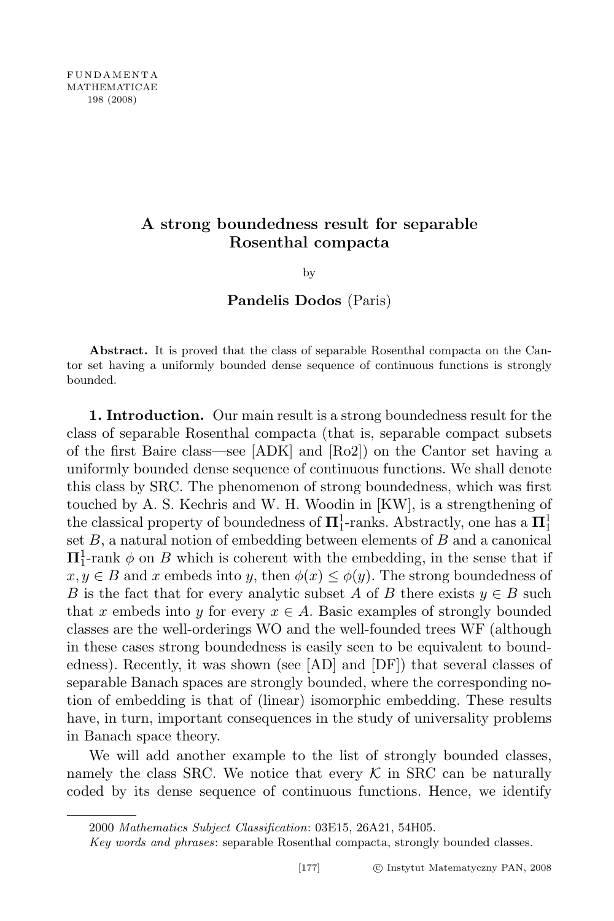# A strong boundedness result for separable Rosenthal compacta

by

Pandelis Dodos (Paris)

Abstract. It is proved that the class of separable Rosenthal compacta on the Cantor set having a uniformly bounded dense sequence of continuous functions is strongly bounded.

1. Introduction. Our main result is a strong boundedness result for the class of separable Rosenthal compacta (that is, separable compact subsets of the first Baire class—see [ADK] and [Ro2]) on the Cantor set having a uniformly bounded dense sequence of continuous functions. We shall denote this class by SRC. The phenomenon of strong boundedness, which was first touched by A. S. Kechris and W. H. Woodin in [KW], is a strengthening of the classical property of boundedness of  $\mathbf{\Pi}^1_1$ -ranks. Abstractly, one has a  $\mathbf{\Pi}^1_1$ set  $B$ , a natural notion of embedding between elements of  $B$  and a canonical  $\Pi_1^1$ -rank  $\phi$  on B which is coherent with the embedding, in the sense that if  $x, y \in B$  and x embeds into y, then  $\phi(x) \leq \phi(y)$ . The strong boundedness of B is the fact that for every analytic subset A of B there exists  $y \in B$  such that x embeds into y for every  $x \in A$ . Basic examples of strongly bounded classes are the well-orderings WO and the well-founded trees WF (although in these cases strong boundedness is easily seen to be equivalent to boundedness). Recently, it was shown (see [AD] and [DF]) that several classes of separable Banach spaces are strongly bounded, where the corresponding notion of embedding is that of (linear) isomorphic embedding. These results have, in turn, important consequences in the study of universality problems in Banach space theory.

We will add another example to the list of strongly bounded classes, namely the class SRC. We notice that every  $\mathcal K$  in SRC can be naturally coded by its dense sequence of continuous functions. Hence, we identify

<sup>2000</sup> Mathematics Subject Classification: 03E15, 26A21, 54H05.

Key words and phrases: separable Rosenthal compacta, strongly bounded classes.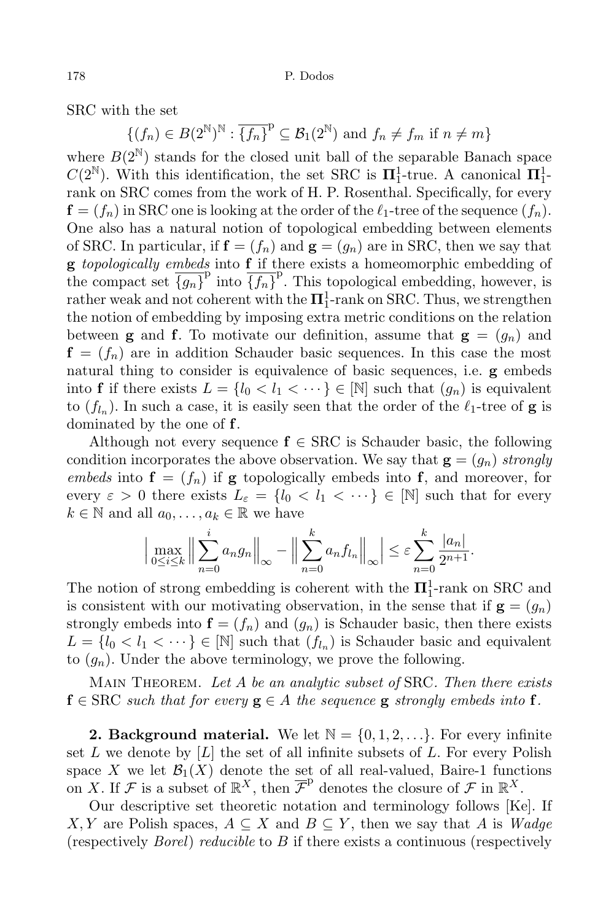SRC with the set

 $\{(f_n) \in B(2^{\mathbb{N}})^{\mathbb{N}} : \overline{\{f_n\}}^{\mathbb{p}} \subseteq \mathcal{B}_1(2^{\mathbb{N}}) \text{ and } f_n \neq f_m \text{ if } n \neq m\}$ 

where  $B(2^{\mathbb{N}})$  stands for the closed unit ball of the separable Banach space  $C(2^{\mathbb{N}})$ . With this identification, the set SRC is  $\Pi_1^1$ -true. A canonical  $\Pi_1^1$ rank on SRC comes from the work of H. P. Rosenthal. Specifically, for every  $\mathbf{f} = (f_n)$  in SRC one is looking at the order of the  $\ell_1$ -tree of the sequence  $(f_n)$ . One also has a natural notion of topological embedding between elements of SRC. In particular, if  $f = (f_n)$  and  $g = (g_n)$  are in SRC, then we say that g topologically embeds into f if there exists a homeomorphic embedding of the compact set  $\overline{\{g_n\}}^{\text{p}}$  into  $\overline{\{f_n\}}^{\text{p}}$ . This topological embedding, however, is rather weak and not coherent with the  $\mathbf{\Pi}^1_1$ -rank on SRC. Thus, we strengthen the notion of embedding by imposing extra metric conditions on the relation between **g** and **f**. To motivate our definition, assume that  $\mathbf{g} = (g_n)$  and  $f = (f_n)$  are in addition Schauder basic sequences. In this case the most natural thing to consider is equivalence of basic sequences, i.e. g embeds into **f** if there exists  $L = \{l_0 < l_1 < \cdots \} \in [\mathbb{N}]$  such that  $(g_n)$  is equivalent to  $(f_{l_n})$ . In such a case, it is easily seen that the order of the  $\ell_1$ -tree of **g** is dominated by the one of f.

Although not every sequence  $f \in \text{SRC}$  is Schauder basic, the following condition incorporates the above observation. We say that  $\mathbf{g} = (g_n)$  strongly embeds into  $f = (f_n)$  if g topologically embeds into f, and moreover, for every  $\varepsilon > 0$  there exists  $L_{\varepsilon} = \{l_0 < l_1 < \cdots \} \in [N]$  such that for every  $k \in \mathbb{N}$  and all  $a_0, \ldots, a_k \in \mathbb{R}$  we have

$$
\Big|\max_{0\leq i\leq k}\Big\|\sum_{n=0}^i a_n g_n\Big\|_{\infty} - \Big\|\sum_{n=0}^k a_n f_{l_n}\Big\|_{\infty}\Big|\leq \varepsilon \sum_{n=0}^k \frac{|a_n|}{2^{n+1}}.
$$

The notion of strong embedding is coherent with the  $\Pi_1^1$ -rank on SRC and is consistent with our motivating observation, in the sense that if  $g = (q_n)$ strongly embeds into  $f = (f_n)$  and  $(g_n)$  is Schauder basic, then there exists  $L = \{l_0 < l_1 < \cdots\} \in [\mathbb{N}]$  such that  $(f_{l_n})$  is Schauder basic and equivalent to  $(q_n)$ . Under the above terminology, we prove the following.

MAIN THEOREM. Let  $A$  be an analytic subset of SRC. Then there exists  $f \in \text{SRC}$  such that for every  $g \in A$  the sequence g strongly embeds into f.

**2. Background material.** We let  $\mathbb{N} = \{0, 1, 2, \ldots\}$ . For every infinite set L we denote by  $[L]$  the set of all infinite subsets of L. For every Polish space X we let  $\mathcal{B}_1(X)$  denote the set of all real-valued, Baire-1 functions on X. If F is a subset of  $\mathbb{R}^X$ , then  $\overline{\mathcal{F}}^{\mathbb{P}}$  denotes the closure of F in  $\mathbb{R}^X$ .

Our descriptive set theoretic notation and terminology follows [Ke]. If X, Y are Polish spaces,  $A \subseteq X$  and  $B \subseteq Y$ , then we say that A is Wadge (respectively *Borel*) reducible to  $B$  if there exists a continuous (respectively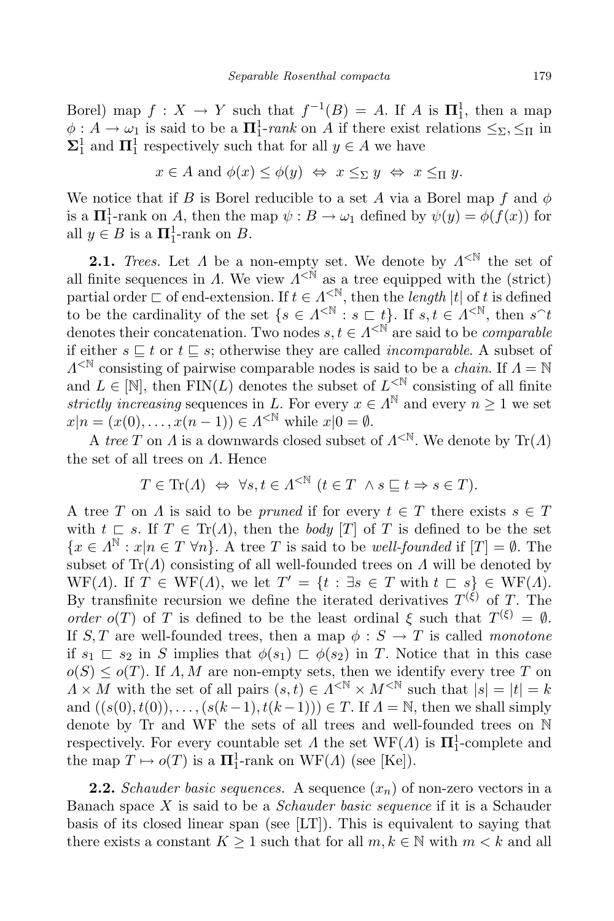Borel) map  $f: X \to Y$  such that  $f^{-1}(B) = A$ . If A is  $\mathbf{\Pi}^1_1$ , then a map  $\phi: A \to \omega_1$  is said to be a  $\Pi_1^1$ -rank on A if there exist relations  $\leq_{\Sigma}, \leq_{\Pi}$  in  $\Sigma_1^1$  and  $\Pi_1^1$  respectively such that for all  $y \in A$  we have

$$
x \in A
$$
 and  $\phi(x) \leq \phi(y) \iff x \leq_{\Sigma} y \iff x \leq_{\Pi} y$ .

We notice that if B is Borel reducible to a set A via a Borel map f and  $\phi$ is a  $\Pi_1^1$ -rank on A, then the map  $\psi : B \to \omega_1$  defined by  $\psi(y) = \phi(f(x))$  for all  $y \in B$  is a  $\Pi_1^1$ -rank on  $B$ .

**2.1.** Trees. Let  $\Lambda$  be a non-empty set. We denote by  $\Lambda^{\leq N}$  the set of all finite sequences in  $\Lambda$ . We view  $\Lambda^{<\mathbb{N}}$  as a tree equipped with the (strict) partial order  $\Box$  of end-extension. If  $t \in \Lambda^{\leq \mathbb{N}}$ , then the length |t| of t is defined to be the cardinality of the set  $\{s \in \Lambda^{< \mathbb{N}} : s \sqsubset t\}$ . If  $s, t \in \Lambda^{< \mathbb{N}}$ , then  $s^t$ denotes their concatenation. Two nodes  $s, t \in \Lambda^{\leq N}$  are said to be *comparable* if either  $s \subseteq t$  or  $t \subseteq s$ ; otherwise they are called *incomparable*. A subset of  $\Lambda^{< \mathbb{N}}$  consisting of pairwise comparable nodes is said to be a *chain*. If  $\Lambda = \mathbb{N}$ and  $L \in [\mathbb{N}]$ , then  $\text{FIN}(L)$  denotes the subset of  $L^{< \mathbb{N}}$  consisting of all finite strictly increasing sequences in L. For every  $x \in \Lambda^{\mathbb{N}}$  and every  $n \geq 1$  we set  $x|n = (x(0), ..., x(n-1)) \in \Lambda^{< \mathbb{N}}$  while  $x|0 = \emptyset$ .

A tree T on  $\Lambda$  is a downwards closed subset of  $\Lambda^{< N}$ . We denote by  $\text{Tr}(\Lambda)$ the set of all trees on  $\Lambda$ . Hence

$$
T \in \text{Tr}(A) \iff \forall s, t \in A^{\leq \mathbb{N}} \ (t \in T \ \land s \sqsubseteq t \Rightarrow s \in T).
$$

A tree T on  $\Lambda$  is said to be pruned if for every  $t \in T$  there exists  $s \in T$ with  $t \subset s$ . If  $T \in \text{Tr}(A)$ , then the *body* [T] of T is defined to be the set  ${x \in \Lambda^{\mathbb{N}} : x|n \in T \,\forall n}$ . A tree T is said to be well-founded if  $[T] = \emptyset$ . The subset of  $\text{Tr}(\Lambda)$  consisting of all well-founded trees on  $\Lambda$  will be denoted by WF(A). If  $T \in \text{WF}(A)$ , we let  $T' = \{t : \exists s \in T \text{ with } t \subset s\} \in \text{WF}(A)$ . By transfinite recursion we define the iterated derivatives  $T^{(\xi)}$  of T. The order  $o(T)$  of T is defined to be the least ordinal  $\xi$  such that  $T^{(\xi)} = \emptyset$ . If S, T are well-founded trees, then a map  $\phi : S \to T$  is called monotone if  $s_1 \rvert s_2$  in S implies that  $\phi(s_1) \rvert s_2$  in T. Notice that in this case  $o(S) \leq o(T)$ . If  $\Lambda, M$  are non-empty sets, then we identify every tree T on  $\Lambda \times M$  with the set of all pairs  $(s, t) \in \Lambda^{< \mathbb{N}} \times M^{< \mathbb{N}}$  such that  $|s| = |t| = k$ and  $((s(0), t(0)), \ldots, (s(k-1), t(k-1))) \in T$ . If  $\Lambda = \mathbb{N}$ , then we shall simply denote by Tr and WF the sets of all trees and well-founded trees on N respectively. For every countable set  $\Lambda$  the set  $WF(\Lambda)$  is  $\Pi_1^1$ -complete and the map  $T \mapsto o(T)$  is a  $\mathbf{\Pi}^1_1$ -rank on  $\mathrm{WF}(A)$  (see [Ke]).

**2.2.** Schauder basic sequences. A sequence  $(x_n)$  of non-zero vectors in a Banach space  $X$  is said to be a *Schauder basic sequence* if it is a Schauder basis of its closed linear span (see [LT]). This is equivalent to saying that there exists a constant  $K \geq 1$  such that for all  $m, k \in \mathbb{N}$  with  $m < k$  and all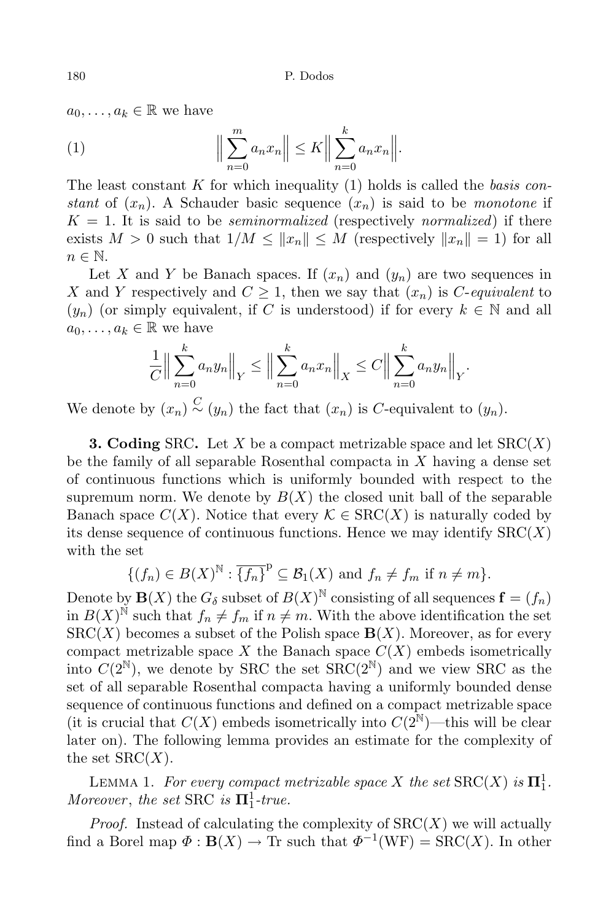$a_0, \ldots, a_k \in \mathbb{R}$  we have

(1) 
$$
\Big\|\sum_{n=0}^m a_n x_n\Big\| \le K \Big\|\sum_{n=0}^k a_n x_n\Big\|.
$$

The least constant K for which inequality  $(1)$  holds is called the basis constant of  $(x_n)$ . A Schauder basic sequence  $(x_n)$  is said to be monotone if  $K = 1$ . It is said to be *seminormalized* (respectively *normalized*) if there exists  $M > 0$  such that  $1/M \leq ||x_n|| \leq M$  (respectively  $||x_n|| = 1$ ) for all  $n \in \mathbb{N}$ .

Let X and Y be Banach spaces. If  $(x_n)$  and  $(y_n)$  are two sequences in X and Y respectively and  $C \geq 1$ , then we say that  $(x_n)$  is C-equivalent to  $(y_n)$  (or simply equivalent, if C is understood) if for every  $k \in \mathbb{N}$  and all  $a_0, \ldots, a_k \in \mathbb{R}$  we have

$$
\frac{1}{C} \Big\| \sum_{n=0}^{k} a_n y_n \Big\|_Y \le \Big\| \sum_{n=0}^{k} a_n x_n \Big\|_X \le C \Big\| \sum_{n=0}^{k} a_n y_n \Big\|_Y.
$$

We denote by  $(x_n) \stackrel{C}{\sim} (y_n)$  the fact that  $(x_n)$  is C-equivalent to  $(y_n)$ .

**3. Coding** SRC. Let X be a compact metrizable space and let  $\text{SRC}(X)$ be the family of all separable Rosenthal compacta in X having a dense set of continuous functions which is uniformly bounded with respect to the supremum norm. We denote by  $B(X)$  the closed unit ball of the separable Banach space  $C(X)$ . Notice that every  $\mathcal{K} \in \text{SRC}(X)$  is naturally coded by its dense sequence of continuous functions. Hence we may identify  $SRC(X)$ with the set

$$
\{(f_n) \in B(X)^{\mathbb{N}} : \overline{\{f_n\}}^{\mathbb{P}} \subseteq \mathcal{B}_1(X) \text{ and } f_n \neq f_m \text{ if } n \neq m\}.
$$

Denote by  $\mathbf{B}(X)$  the  $G_{\delta}$  subset of  $B(X)^{\mathbb{N}}$  consisting of all sequences  $\mathbf{f} = (f_n)$ in  $B(X)$ <sup>N</sup> such that  $f_n \neq f_m$  if  $n \neq m$ . With the above identification the set  $SRC(X)$  becomes a subset of the Polish space  $\mathbf{B}(X)$ . Moreover, as for every compact metrizable space X the Banach space  $C(X)$  embeds isometrically into  $C(2^{\mathbb{N}})$ , we denote by SRC the set  $\widehat{SRC}(2^{\mathbb{N}})$  and we view SRC as the set of all separable Rosenthal compacta having a uniformly bounded dense sequence of continuous functions and defined on a compact metrizable space (it is crucial that  $C(X)$  embeds isometrically into  $C(2^N)$ —this will be clear later on). The following lemma provides an estimate for the complexity of the set  $SRC(X)$ .

LEMMA 1. For every compact metrizable space X the set  $\text{SRC}(X)$  is  $\Pi^1_1$ . Moreover, the set SRC is  $\Pi_1^1$ -true.

*Proof.* Instead of calculating the complexity of  $SRC(X)$  we will actually find a Borel map  $\Phi : \mathbf{B}(X) \to \text{Tr}$  such that  $\Phi^{-1}(\text{WF}) = \text{SRC}(X)$ . In other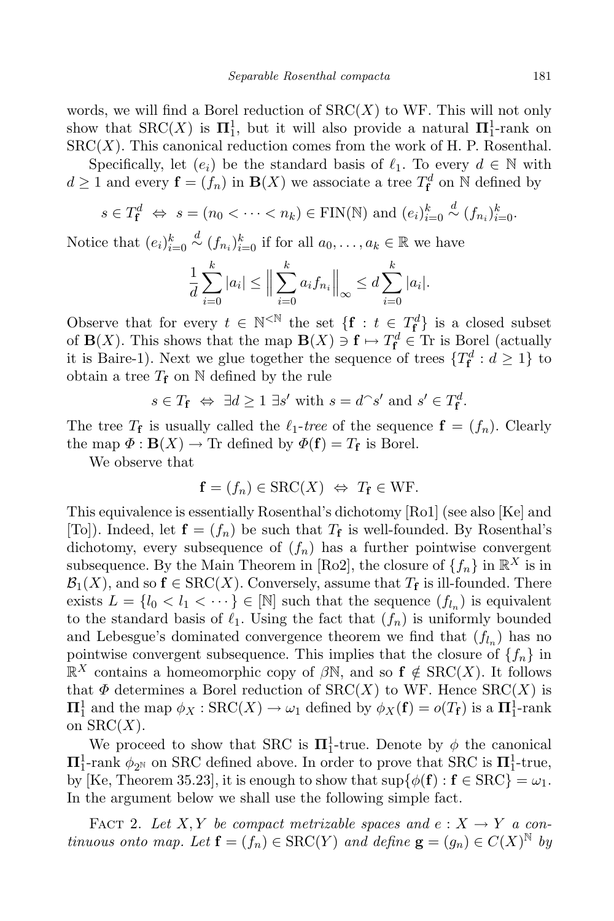words, we will find a Borel reduction of  $SRC(X)$  to WF. This will not only show that  $\text{SRC}(X)$  is  $\Pi^1_1$ , but it will also provide a natural  $\Pi^1_1$ -rank on  $SRC(X)$ . This canonical reduction comes from the work of H. P. Rosenthal.

Specifically, let  $(e_i)$  be the standard basis of  $\ell_1$ . To every  $d \in \mathbb{N}$  with  $d \geq 1$  and every  $\mathbf{f} = (f_n)$  in  $\mathbf{B}(X)$  we associate a tree  $T_{\mathbf{f}}^d$  on  $\mathbb N$  defined by

$$
s \in T_{\mathbf{f}}^d \Leftrightarrow s = (n_0 < \cdots < n_k) \in \text{FIN}(\mathbb{N}) \text{ and } (e_i)_{i=0}^k \stackrel{d}{\sim} (f_{n_i})_{i=0}^k
$$

Notice that  $(e_i)_{i=0}^k \stackrel{d}{\sim} (f_{n_i})_{i=0}^k$  if for all  $a_0, \ldots, a_k \in \mathbb{R}$  we have

$$
\frac{1}{d} \sum_{i=0}^{k} |a_i| \le \Big\| \sum_{i=0}^{k} a_i f_{n_i} \Big\|_{\infty} \le d \sum_{i=0}^{k} |a_i|.
$$

Observe that for every  $t \in \mathbb{N}^{\leq \mathbb{N}}$  the set  $\{f : t \in T_f^d\}$  is a closed subset of **B**(X). This shows that the map **B**(X)  $\ni$  **f**  $\mapsto T_f^d \in$  Tr is Borel (actually it is Baire-1). Next we glue together the sequence of trees  $\{T_f^d : d \geq 1\}$  to obtain a tree  $T_f$  on  $\mathbb N$  defined by the rule

$$
s \in T_{\mathbf{f}} \iff \exists d \ge 1 \; \exists s' \text{ with } s = d^{\frown} s' \text{ and } s' \in T_{\mathbf{f}}^d.
$$

The tree  $T_f$  is usually called the  $\ell_1$ -tree of the sequence  $\mathbf{f} = (f_n)$ . Clearly the map  $\Phi : \mathbf{B}(X) \to \mathrm{Tr}$  defined by  $\Phi(\mathbf{f}) = T_{\mathbf{f}}$  is Borel.

We observe that

$$
\mathbf{f} = (f_n) \in \text{SRC}(X) \iff T_{\mathbf{f}} \in \text{WF}.
$$

This equivalence is essentially Rosenthal's dichotomy [Ro1] (see also [Ke] and [To]). Indeed, let  $\mathbf{f} = (f_n)$  be such that  $T_f$  is well-founded. By Rosenthal's dichotomy, every subsequence of  $(f_n)$  has a further pointwise convergent subsequence. By the Main Theorem in [Ro2], the closure of  $\{f_n\}$  in  $\mathbb{R}^X$  is in  $\mathcal{B}_1(X)$ , and so  $\mathbf{f} \in \text{SRC}(X)$ . Conversely, assume that  $T_{\mathbf{f}}$  is ill-founded. There exists  $L = \{l_0 < l_1 < \cdots\} \in [\mathbb{N}]$  such that the sequence  $(f_{l_n})$  is equivalent to the standard basis of  $\ell_1$ . Using the fact that  $(f_n)$  is uniformly bounded and Lebesgue's dominated convergence theorem we find that  $(f_{l_n})$  has no pointwise convergent subsequence. This implies that the closure of  $\{f_n\}$  in  $\mathbb{R}^X$  contains a homeomorphic copy of  $\beta\mathbb{N}$ , and so  $f \notin \text{SRC}(X)$ . It follows that  $\Phi$  determines a Borel reduction of  $SRC(X)$  to WF. Hence  $SRC(X)$  is  $\Pi_1^1$  and the map  $\phi_X : \text{SRC}(X) \to \omega_1$  defined by  $\phi_X(\mathbf{f}) = o(T_{\mathbf{f}})$  is a  $\Pi_1^1$ -rank on  $SRC(X)$ .

We proceed to show that SRC is  $\mathbf{\Pi}^1_1$ -true. Denote by  $\phi$  the canonical  $\Pi^1_1$ -rank  $\phi_{2^{\mathbb{N}}}$  on SRC defined above. In order to prove that SRC is  $\Pi^1_1$ -true, by [Ke, Theorem 35.23], it is enough to show that  $\sup\{\phi(f) : f \in \text{SRC}\} = \omega_1$ . In the argument below we shall use the following simple fact.

FACT 2. Let X, Y be compact metrizable spaces and  $e: X \to Y$  a continuous onto map. Let  $\mathbf{f} = (f_n) \in \text{SRC}(Y)$  and define  $\mathbf{g} = (g_n) \in C(X)^\mathbb{N}$  by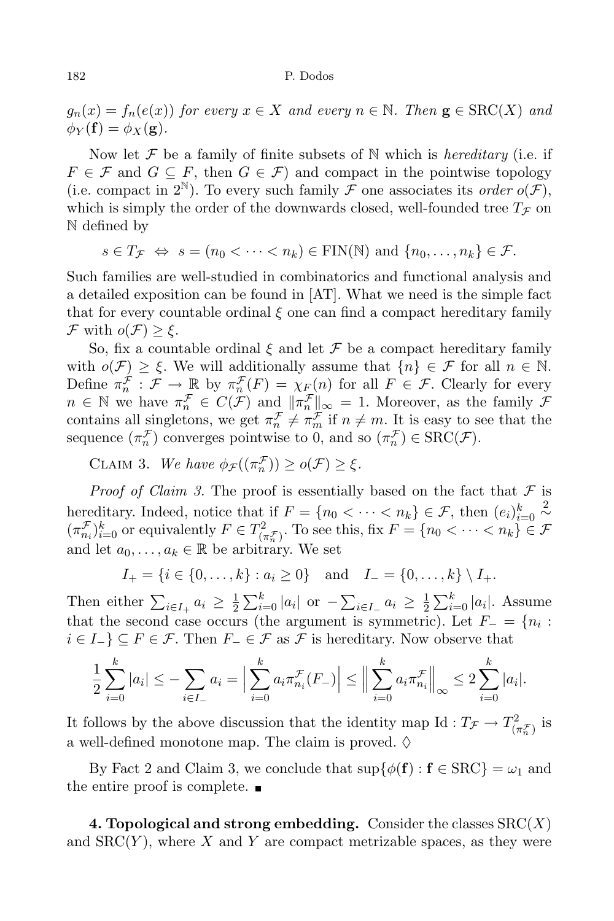$g_n(x) = f_n(e(x))$  for every  $x \in X$  and every  $n \in \mathbb{N}$ . Then  $\mathbf{g} \in \text{SRC}(X)$  and  $\phi_Y(\mathbf{f}) = \phi_X(\mathbf{g}).$ 

Now let  $\mathcal F$  be a family of finite subsets of N which is *hereditary* (i.e. if  $F \in \mathcal{F}$  and  $G \subseteq F$ , then  $G \in \mathcal{F}$ ) and compact in the pointwise topology (i.e. compact in  $2^{\mathbb{N}}$ ). To every such family  $\mathcal F$  one associates its *order*  $o(\mathcal F)$ , which is simply the order of the downwards closed, well-founded tree  $T_f$  on N defined by

$$
s \in T_{\mathcal{F}} \Leftrightarrow s = (n_0 < \cdots < n_k) \in \text{FIN}(\mathbb{N}) \text{ and } \{n_0, \ldots, n_k\} \in \mathcal{F}.
$$

Such families are well-studied in combinatorics and functional analysis and a detailed exposition can be found in [AT]. What we need is the simple fact that for every countable ordinal  $\xi$  one can find a compact hereditary family  $\mathcal F$  with  $o(\mathcal F) \geq \xi$ .

So, fix a countable ordinal  $\xi$  and let  $\mathcal F$  be a compact hereditary family with  $o(\mathcal{F}) \geq \xi$ . We will additionally assume that  $\{n\} \in \mathcal{F}$  for all  $n \in \mathbb{N}$ . Define  $\pi_n^{\mathcal{F}} : \mathcal{F} \to \mathbb{R}$  by  $\pi_n^{\mathcal{F}}(F) = \chi_F(n)$  for all  $F \in \mathcal{F}$ . Clearly for every  $n \in \mathbb{N}$  we have  $\pi_n^{\mathcal{F}} \in C(\mathcal{F})$  and  $\|\pi_n^{\mathcal{F}}\|_{\infty} = 1$ . Moreover, as the family  $\mathcal{F}$ contains all singletons, we get  $\pi_n^{\mathcal{F}} \neq \pi_m^{\mathcal{F}}$  if  $n \neq m$ . It is easy to see that the sequence  $(\pi_n^{\mathcal{F}})$  converges pointwise to 0, and so  $(\pi_n^{\mathcal{F}}) \in \text{SRC}(\mathcal{F})$ .

CLAIM 3. We have  $\phi_{\mathcal{F}}((\pi_n^{\mathcal{F}})) \geq o(\mathcal{F}) \geq \xi$ .

*Proof of Claim 3.* The proof is essentially based on the fact that  $\mathcal F$  is hereditary. Indeed, notice that if  $F = \{n_0 < \cdots < n_k\} \in \mathcal{F}$ , then  $(e_i)_{i=0}^k \sim$  $(\pi_{n_i}^{\mathcal{F}})_{i=0}^k$  or equivalently  $F \in T_{(\pi_n^{\mathcal{F}})}^2$ . To see this, fix  $F = \{n_0 < \cdots < n_k\} \in \mathcal{F}$ and let  $a_0, \ldots, a_k \in \mathbb{R}$  be arbitrary. We set

$$
I_{+} = \{i \in \{0, \ldots, k\} : a_i \ge 0\} \text{ and } I_{-} = \{0, \ldots, k\} \setminus I_{+}.
$$

Then either  $\sum_{i\in I_+} a_i \geq \frac{1}{2}$  $\frac{1}{2} \sum_{i=0}^{k} |a_i|$  or  $-\sum_{i \in I_-} a_i \geq \frac{1}{2}$  $\frac{1}{2} \sum_{i=0}^{k} |a_i|$ . Assume that the second case occurs (the argument is symmetric). Let  $F_ = \{n_i :$  $i \in I_{}$   $\subseteq$   $F \in \mathcal{F}$ . Then  $F_{} \in \mathcal{F}$  as  $\mathcal{F}$  is hereditary. Now observe that

$$
\frac{1}{2}\sum_{i=0}^{k}|a_{i}| \leq -\sum_{i\in I_{-}} a_{i} = \Big|\sum_{i=0}^{k} a_{i}\pi_{n_{i}}^{\mathcal{F}}(F_{-})\Big| \leq \Big\|\sum_{i=0}^{k} a_{i}\pi_{n_{i}}^{\mathcal{F}}\Big\|_{\infty} \leq 2\sum_{i=0}^{k}|a_{i}|.
$$

It follows by the above discussion that the identity map Id :  $T_{\mathcal{F}} \to T^2_{(\pi_n^{\mathcal{F}})}$  is a well-defined monotone map. The claim is proved.  $\diamond$ 

By Fact 2 and Claim 3, we conclude that  $\sup\{\phi(f) : f \in \text{SRC}\} = \omega_1$  and the entire proof is complete.  $\blacksquare$ 

4. Topological and strong embedding. Consider the classes  $SRC(X)$ and  $SRC(Y)$ , where X and Y are compact metrizable spaces, as they were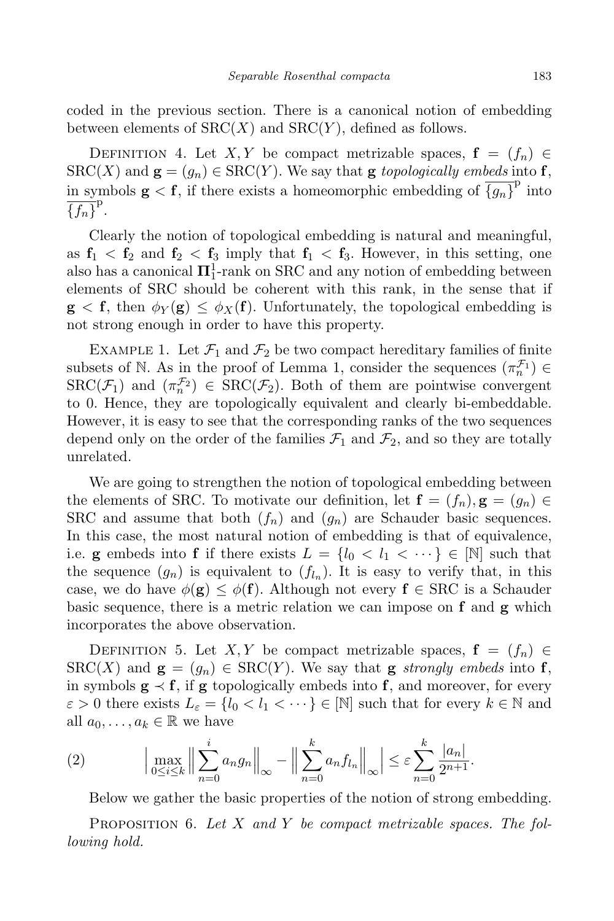coded in the previous section. There is a canonical notion of embedding between elements of  $SRC(X)$  and  $SRC(Y)$ , defined as follows.

DEFINITION 4. Let X, Y be compact metrizable spaces,  $f = (f_n) \in$  $SRC(X)$  and  $\mathbf{g} = (g_n) \in SRC(Y)$ . We say that  $\mathbf{g}$  topologically embeds into  $\mathbf{f}$ , in symbols  $\mathbf{g} < \mathbf{f}$ , if there exists a homeomorphic embedding of  $\overline{\{g_n\}}^p$  into  $\overline{\{f_n\}}^{\mathrm{p}}$ .

Clearly the notion of topological embedding is natural and meaningful, as  $f_1 < f_2$  and  $f_2 < f_3$  imply that  $f_1 < f_3$ . However, in this setting, one also has a canonical  $\mathbf{\Pi}^1_1$ -rank on SRC and any notion of embedding between elements of SRC should be coherent with this rank, in the sense that if  $g \leq f$ , then  $\phi_Y(g) \leq \phi_X(f)$ . Unfortunately, the topological embedding is not strong enough in order to have this property.

EXAMPLE 1. Let  $\mathcal{F}_1$  and  $\mathcal{F}_2$  be two compact hereditary families of finite subsets of N. As in the proof of Lemma 1, consider the sequences  $(\pi_n^{\mathcal{F}_1}) \in$  $\text{SRC}(\mathcal{F}_1)$  and  $(\pi_n^{\mathcal{F}_2}) \in \text{SRC}(\mathcal{F}_2)$ . Both of them are pointwise convergent to 0. Hence, they are topologically equivalent and clearly bi-embeddable. However, it is easy to see that the corresponding ranks of the two sequences depend only on the order of the families  $\mathcal{F}_1$  and  $\mathcal{F}_2$ , and so they are totally unrelated.

We are going to strengthen the notion of topological embedding between the elements of SRC. To motivate our definition, let  $f = (f_n), g = (g_n) \in$ SRC and assume that both  $(f_n)$  and  $(g_n)$  are Schauder basic sequences. In this case, the most natural notion of embedding is that of equivalence, i.e. g embeds into f if there exists  $L = \{l_0 < l_1 < \cdots \} \in [N]$  such that the sequence  $(g_n)$  is equivalent to  $(f_{l_n})$ . It is easy to verify that, in this case, we do have  $\phi(\mathbf{g}) \leq \phi(\mathbf{f})$ . Although not every  $\mathbf{f} \in \text{SRC}$  is a Schauder basic sequence, there is a metric relation we can impose on  $f$  and  $g$  which incorporates the above observation.

DEFINITION 5. Let X, Y be compact metrizable spaces,  $f = (f_n) \in$  $SRC(X)$  and  $\mathbf{g} = (g_n) \in SRC(Y)$ . We say that  $\mathbf{g}$  strongly embeds into f, in symbols  $g \prec f$ , if g topologically embeds into f, and moreover, for every  $\varepsilon > 0$  there exists  $L_{\varepsilon} = \{l_0 < l_1 < \cdots \} \in [\mathbb{N}]$  such that for every  $k \in \mathbb{N}$  and all  $a_0, \ldots, a_k \in \mathbb{R}$  we have

(2) 
$$
\left| \max_{0 \le i \le k} \left\| \sum_{n=0}^{i} a_n g_n \right\|_{\infty} - \left\| \sum_{n=0}^{k} a_n f_{l_n} \right\|_{\infty} \right| \le \varepsilon \sum_{n=0}^{k} \frac{|a_n|}{2^{n+1}}.
$$

Below we gather the basic properties of the notion of strong embedding.

**PROPOSITION** 6. Let X and Y be compact metrizable spaces. The following hold.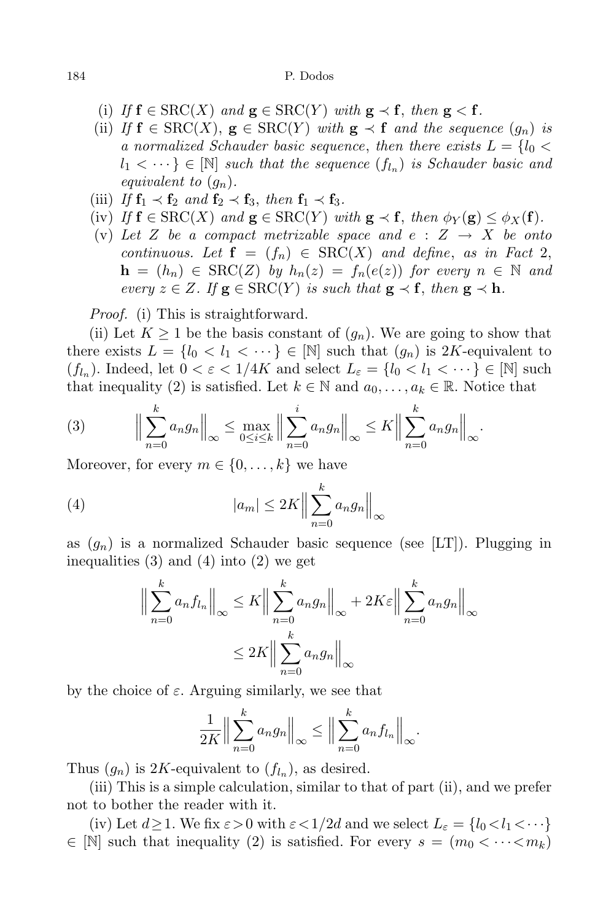- (i) If  $f \in \text{SRC}(X)$  and  $g \in \text{SRC}(Y)$  with  $g \prec f$ , then  $g \prec f$ .
- (ii) If  $f \in \text{SRC}(X)$ ,  $g \in \text{SRC}(Y)$  with  $g \prec f$  and the sequence  $(q_n)$  is a normalized Schauder basic sequence, then there exists  $L = \{l_0 \leq$  $l_1 < \cdots \} \in [N]$  such that the sequence  $(f_{l_n})$  is Schauder basic and equivalent to  $(g_n)$ .
- (iii) If  $f_1 \prec f_2$  and  $f_2 \prec f_3$ , then  $f_1 \prec f_3$ .
- (iv) If  $f \in \text{SRC}(X)$  and  $g \in \text{SRC}(Y)$  with  $g \prec f$ , then  $\phi_Y(g) \leq \phi_X(f)$ .
- (v) Let Z be a compact metrizable space and  $e : Z \rightarrow X$  be onto continuous. Let  $f = (f_n) \in \text{SRC}(X)$  and define, as in Fact 2,  $h = (h_n) \in \text{SRC}(Z)$  by  $h_n(z) = f_n(e(z))$  for every  $n \in \mathbb{N}$  and every  $z \in Z$ . If  $g \in \text{SRC}(Y)$  is such that  $g \prec f$ , then  $g \prec h$ .

Proof. (i) This is straightforward.

(ii) Let  $K \geq 1$  be the basis constant of  $(g_n)$ . We are going to show that there exists  $L = \{l_0 < l_1 < \cdots \} \in [N]$  such that  $(g_n)$  is 2K-equivalent to  $(f_{l_n})$ . Indeed, let  $0 < \varepsilon < 1/4K$  and select  $L_{\varepsilon} = \{l_0 < l_1 < \cdots \} \in [\mathbb{N}]$  such that inequality (2) is satisfied. Let  $k \in \mathbb{N}$  and  $a_0, \ldots, a_k \in \mathbb{R}$ . Notice that

(3) 
$$
\Big\|\sum_{n=0}^k a_n g_n\Big\|_{\infty} \le \max_{0\le i\le k} \Big\|\sum_{n=0}^i a_n g_n\Big\|_{\infty} \le K\Big\|\sum_{n=0}^k a_n g_n\Big\|_{\infty}.
$$

Moreover, for every  $m \in \{0, \ldots, k\}$  we have

(4) 
$$
|a_m| \leq 2K \Big\| \sum_{n=0}^k a_n g_n \Big\|_{\infty}
$$

as  $(g_n)$  is a normalized Schauder basic sequence (see [LT]). Plugging in inequalities (3) and (4) into (2) we get

$$
\left\| \sum_{n=0}^{k} a_n f_{l_n} \right\|_{\infty} \le K \left\| \sum_{n=0}^{k} a_n g_n \right\|_{\infty} + 2K \varepsilon \left\| \sum_{n=0}^{k} a_n g_n \right\|_{\infty}
$$

$$
\le 2K \left\| \sum_{n=0}^{k} a_n g_n \right\|_{\infty}
$$

by the choice of  $\varepsilon$ . Arguing similarly, we see that

$$
\frac{1}{2K} \Big\| \sum_{n=0}^k a_n g_n \Big\|_{\infty} \le \Big\| \sum_{n=0}^k a_n f_{l_n} \Big\|_{\infty}.
$$

Thus  $(g_n)$  is 2K-equivalent to  $(f_{l_n})$ , as desired.

(iii) This is a simple calculation, similar to that of part (ii), and we prefer not to bother the reader with it.

(iv) Let  $d \geq 1$ . We fix  $\varepsilon > 0$  with  $\varepsilon < 1/2d$  and we select  $L_{\varepsilon} = \{l_0 < l_1 < \cdots \}$  $\in \mathbb{N}$  such that inequality (2) is satisfied. For every  $s = (m_0 < \cdots < m_k)$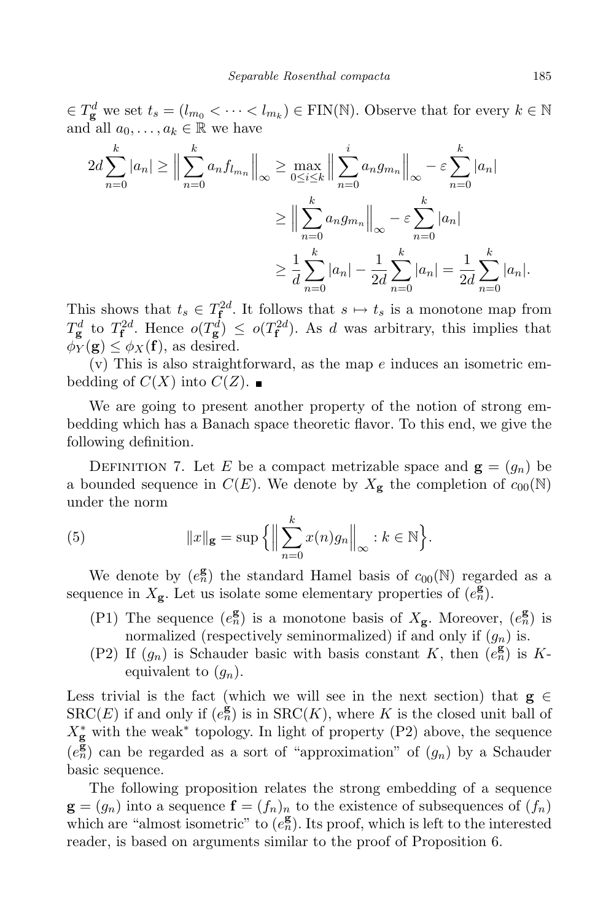$\in T_{\bf g}^d$  we set  $t_s = (l_{m_0} < \cdots < l_{m_k}) \in \text{FIN}(\mathbb{N})$ . Observe that for every  $k \in \mathbb{N}$ and all  $a_0, \ldots, a_k \in \mathbb{R}$  we have

$$
2d \sum_{n=0}^{k} |a_n| \ge \left\| \sum_{n=0}^{k} a_n f_{l_{m_n}} \right\|_{\infty} \ge \max_{0 \le i \le k} \left\| \sum_{n=0}^{i} a_n g_{m_n} \right\|_{\infty} - \varepsilon \sum_{n=0}^{k} |a_n|
$$
  

$$
\ge \left\| \sum_{n=0}^{k} a_n g_{m_n} \right\|_{\infty} - \varepsilon \sum_{n=0}^{k} |a_n|
$$
  

$$
\ge \frac{1}{d} \sum_{n=0}^{k} |a_n| - \frac{1}{2d} \sum_{n=0}^{k} |a_n| = \frac{1}{2d} \sum_{n=0}^{k} |a_n|.
$$

This shows that  $t_s \in T_f^{2d}$ . It follows that  $s \mapsto t_s$  is a monotone map from  $T_{\bf g}^d$  to  $T_{\bf f}^{2d}$ . Hence  $o(T_{\bf g}^d) \leq o(T_{\bf f}^{2d})$ . As d was arbitrary, this implies that  $\phi_Y(\mathbf{g}) \leq \phi_X(\mathbf{f})$ , as desired.

 $(v)$  This is also straightforward, as the map e induces an isometric embedding of  $C(X)$  into  $C(Z)$ .

We are going to present another property of the notion of strong embedding which has a Banach space theoretic flavor. To this end, we give the following definition.

DEFINITION 7. Let E be a compact metrizable space and  $\mathbf{g} = (g_n)$  be a bounded sequence in  $C(E)$ . We denote by  $X_{\mathbf{g}}$  the completion of  $c_{00}(\mathbb{N})$ under the norm

(5) 
$$
||x||_{\mathbf{g}} = \sup \left\{ \left\| \sum_{n=0}^{k} x(n) g_n \right\|_{\infty} : k \in \mathbb{N} \right\}.
$$

We denote by  $(e_n^{\mathbf{g}})$  the standard Hamel basis of  $c_{00}(\mathbb{N})$  regarded as a sequence in  $X_{\mathbf{g}}$ . Let us isolate some elementary properties of  $(e_n^{\mathbf{g}})$ .

- (P1) The sequence  $(e_n^{\mathbf{g}})$  is a monotone basis of  $X_{\mathbf{g}}$ . Moreover,  $(e_n^{\mathbf{g}})$  is normalized (respectively seminormalized) if and only if  $(g_n)$  is.
- (P2) If  $(g_n)$  is Schauder basic with basis constant K, then  $(e_n^g)$  is Kequivalent to  $(g_n)$ .

Less trivial is the fact (which we will see in the next section) that  $g \in$  $SRC(E)$  if and only if  $(e_n^{\mathbf{g}})$  is in  $SRC(K)$ , where K is the closed unit ball of  $X_{\bf g}^*$  with the weak<sup>∗</sup> topology. In light of property (P2) above, the sequence  $(e_n^{\overline{g}})$  can be regarded as a sort of "approximation" of  $(g_n)$  by a Schauder basic sequence.

The following proposition relates the strong embedding of a sequence  $\mathbf{g} = (g_n)$  into a sequence  $\mathbf{f} = (f_n)_n$  to the existence of subsequences of  $(f_n)$ which are "almost isometric" to  $(e_n^{\mathbf{g}})$ . Its proof, which is left to the interested reader, is based on arguments similar to the proof of Proposition 6.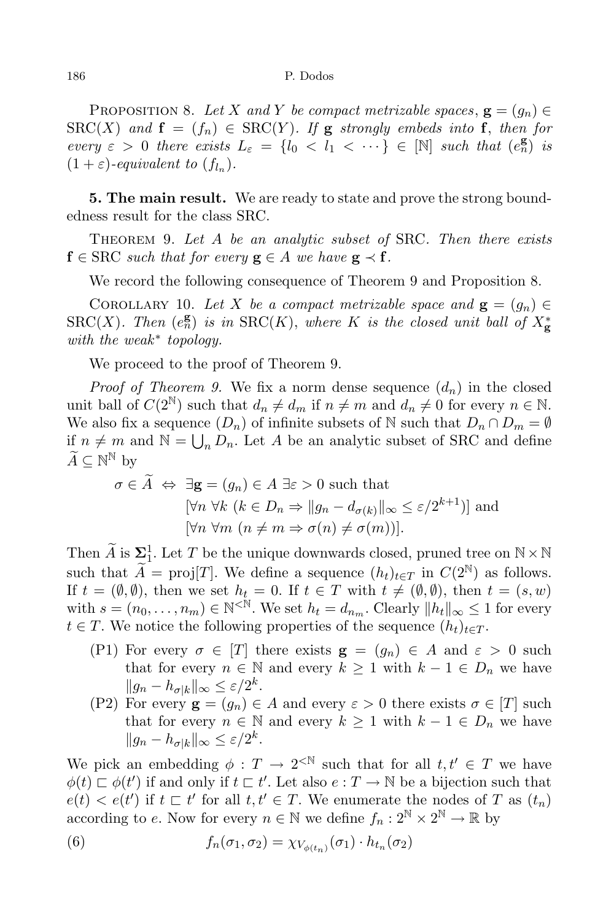PROPOSITION 8. Let X and Y be compact metrizable spaces,  $\mathbf{g} = (g_n) \in$  $SRC(X)$  and  $f = (f_n) \in SRC(Y)$ . If g strongly embeds into f, then for every  $\varepsilon > 0$  there exists  $L_{\varepsilon} = \{l_0 < l_1 < \cdots \} \in [\mathbb{N}]$  such that  $(e_n^{\mathbf{g}})$  is  $(1+\varepsilon)$ -equivalent to  $(f_{l_n})$ .

**5. The main result.** We are ready to state and prove the strong boundedness result for the class SRC.

THEOREM 9. Let  $A$  be an analytic subset of SRC. Then there exists  $f \in \text{SRC} \text{ such that for every } g \in A \text{ we have } g \prec f.$ 

We record the following consequence of Theorem 9 and Proposition 8.

COROLLARY 10. Let X be a compact metrizable space and  $\mathbf{g} = (g_n) \in$  $\mathrm{SRC}(X)$ . Then  $(e_n^{\mathbf{g}})$  is in  $\mathrm{SRC}(K)$ , where K is the closed unit ball of  $X_{\mathbf{g}}^*$ with the weak<sup>\*</sup> topology.

We proceed to the proof of Theorem 9.

*Proof of Theorem 9.* We fix a norm dense sequence  $(d_n)$  in the closed unit ball of  $C(2^{\mathbb{N}})$  such that  $d_n \neq d_m$  if  $n \neq m$  and  $d_n \neq 0$  for every  $n \in \mathbb{N}$ . We also fix a sequence  $(D_n)$  of infinite subsets of  $\mathbb N$  such that  $D_n \cap D_m = \emptyset$ if  $n \neq m$  and  $\mathbb{N} = \bigcup_n D_n$ . Let A be an analytic subset of SRC and define  $\widetilde{A} \subseteq \mathbb{N}^{\mathbb{N}}$  by

$$
\sigma \in \tilde{A} \Leftrightarrow \exists \mathbf{g} = (g_n) \in A \exists \varepsilon > 0 \text{ such that}
$$

$$
[\forall n \ \forall k \ (k \in D_n \Rightarrow ||g_n - d_{\sigma(k)}||_{\infty} \le \varepsilon/2^{k+1})] \text{ and}
$$

$$
[\forall n \ \forall m \ (n \neq m \Rightarrow \sigma(n) \neq \sigma(m))].
$$

Then  $\widetilde{A}$  is  $\Sigma^1_1$ . Let T be the unique downwards closed, pruned tree on  $\mathbb{N} \times \mathbb{N}$ such that  $\widetilde{A} = \text{proj}[T]$ . We define a sequence  $(h_t)_{t \in T}$  in  $C(2^{\mathbb{N}})$  as follows. If  $t = (\emptyset, \emptyset)$ , then we set  $h_t = 0$ . If  $t \in T$  with  $t \neq (\emptyset, \emptyset)$ , then  $t = (s, w)$ with  $s = (n_0, \ldots, n_m) \in \mathbb{N}^{\leq \mathbb{N}}$ . We set  $h_t = d_{n_m}$ . Clearly  $||h_t||_{\infty} \leq 1$  for every  $t \in T$ . We notice the following properties of the sequence  $(h_t)_{t \in T}$ .

- (P1) For every  $\sigma \in [T]$  there exists  $\mathbf{g} = (g_n) \in A$  and  $\varepsilon > 0$  such that for every  $n \in \mathbb{N}$  and every  $k \geq 1$  with  $k - 1 \in D_n$  we have  $||g_n - h_{\sigma |k}||_{\infty} \leq \varepsilon/2^k.$
- (P2) For every  $\mathbf{g} = (g_n) \in A$  and every  $\varepsilon > 0$  there exists  $\sigma \in [T]$  such that for every  $n \in \mathbb{N}$  and every  $k \geq 1$  with  $k - 1 \in D_n$  we have  $||g_n - h_{\sigma |k}||_{\infty} \leq \varepsilon/2^k.$

We pick an embedding  $\phi: T \to 2^{\lt N}$  such that for all  $t, t' \in T$  we have  $\phi(t) \sqsubset \phi(t')$  if and only if  $t \sqsubset t'$ . Let also  $e: T \to \mathbb{N}$  be a bijection such that  $e(t) < e(t')$  if  $t \sqsubset t'$  for all  $t, t' \in T$ . We enumerate the nodes of T as  $(t_n)$ according to e. Now for every  $n \in \mathbb{N}$  we define  $f_n: 2^{\mathbb{N}} \times 2^{\mathbb{N}} \to \mathbb{R}$  by

(6) 
$$
f_n(\sigma_1, \sigma_2) = \chi_{V_{\phi(t_n)}}(\sigma_1) \cdot h_{t_n}(\sigma_2)
$$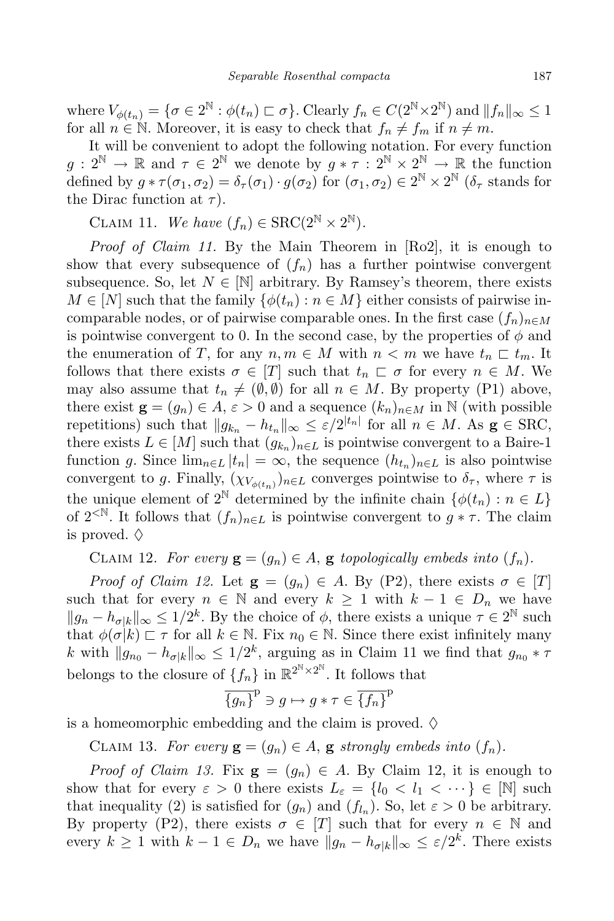where  $V_{\phi(t_n)} = \{ \sigma \in 2^{\mathbb{N}} : \phi(t_n) \sqsubset \sigma \}$ . Clearly  $f_n \in C(2^{\mathbb{N}} \times 2^{\mathbb{N}})$  and  $||f_n||_{\infty} \leq 1$ for all  $n \in \mathbb{N}$ . Moreover, it is easy to check that  $f_n \neq f_m$  if  $n \neq m$ .

It will be convenient to adopt the following notation. For every function  $g: 2^{\mathbb{N}} \to \mathbb{R}$  and  $\tau \in 2^{\mathbb{N}}$  we denote by  $g * \tau : 2^{\mathbb{N}} \times 2^{\mathbb{N}} \to \mathbb{R}$  the function defined by  $g * \tau(\sigma_1, \sigma_2) = \delta_{\tau}(\sigma_1) \cdot g(\sigma_2)$  for  $(\sigma_1, \sigma_2) \in 2^{\mathbb{N}} \times 2^{\mathbb{N}}$  ( $\delta_{\tau}$  stands for the Dirac function at  $\tau$ ).

CLAIM 11. We have  $(f_n) \in \text{SRC}(2^{\mathbb{N}} \times 2^{\mathbb{N}})$ .

Proof of Claim 11. By the Main Theorem in [Ro2], it is enough to show that every subsequence of  $(f_n)$  has a further pointwise convergent subsequence. So, let  $N \in \mathbb{N}$  arbitrary. By Ramsey's theorem, there exists  $M \in [N]$  such that the family  $\{\phi(t_n) : n \in M\}$  either consists of pairwise incomparable nodes, or of pairwise comparable ones. In the first case  $(f_n)_{n\in M}$ is pointwise convergent to 0. In the second case, by the properties of  $\phi$  and the enumeration of T, for any  $n, m \in M$  with  $n < m$  we have  $t_n \subset t_m$ . It follows that there exists  $\sigma \in [T]$  such that  $t_n \subset \sigma$  for every  $n \in M$ . We may also assume that  $t_n \neq (\emptyset, \emptyset)$  for all  $n \in M$ . By property (P1) above, there exist  $\mathbf{g} = (g_n) \in A$ ,  $\varepsilon > 0$  and a sequence  $(k_n)_{n \in M}$  in N (with possible repetitions) such that  $||g_{k_n} - h_{t_n}||_{\infty} \leq \varepsilon/2^{|t_n|}$  for all  $n \in M$ . As  $g \in \text{SRC}$ , there exists  $L \in [M]$  such that  $(g_{k_n})_{n \in L}$  is pointwise convergent to a Baire-1 function g. Since  $\lim_{n\in L} |t_n| = \infty$ , the sequence  $(h_{t_n})_{n\in L}$  is also pointwise convergent to g. Finally,  $(\chi_{V_{\phi(t_n)}})_{n \in L}$  converges pointwise to  $\delta_{\tau}$ , where  $\tau$  is the unique element of  $2^{\mathbb{N}}$  determined by the infinite chain  $\{\phi(t_n): n \in L\}$ of  $2^{\langle \mathbb{N} \rangle}$ . It follows that  $(f_n)_{n \in L}$  is pointwise convergent to  $g * \tau$ . The claim is proved.  $\diamond$ 

CLAIM 12. For every  $\mathbf{g} = (g_n) \in A$ ,  $\mathbf{g}$  topologically embeds into  $(f_n)$ .

*Proof of Claim 12.* Let  $\mathbf{g} = (g_n) \in A$ . By (P2), there exists  $\sigma \in [T]$ such that for every  $n \in \mathbb{N}$  and every  $k \geq 1$  with  $k-1 \in D_n$  we have  $||g_n - h_{\sigma/k}||_{\infty} \leq 1/2^k$ . By the choice of  $\phi$ , there exists a unique  $\tau \in 2^{\mathbb{N}}$  such that  $\phi(\sigma|k) \sqsubset \tau$  for all  $k \in \mathbb{N}$ . Fix  $n_0 \in \mathbb{N}$ . Since there exist infinitely many k with  $||g_{n_0} - h_{\sigma/k}||_{\infty} \leq 1/2^k$ , arguing as in Claim 11 we find that  $g_{n_0} * \tau$ belongs to the closure of  $\{f_n\}$  in  $\mathbb{R}^{2^{\mathbb{N}} \times 2^{\mathbb{N}}}$ . It follows that

$$
\overline{\{g_n\}}^p \ni g \mapsto g * \tau \in \overline{\{f_n\}}^p
$$

is a homeomorphic embedding and the claim is proved.  $\diamond$ 

CLAIM 13. For every  $\mathbf{g} = (g_n) \in A$ ,  $\mathbf{g}$  strongly embeds into  $(f_n)$ .

*Proof of Claim 13.* Fix  $\mathbf{g} = (g_n) \in A$ . By Claim 12, it is enough to show that for every  $\varepsilon > 0$  there exists  $L_{\varepsilon} = \{l_0 < l_1 < \cdots \} \in [N]$  such that inequality (2) is satisfied for  $(g_n)$  and  $(f_{l_n})$ . So, let  $\varepsilon > 0$  be arbitrary. By property (P2), there exists  $\sigma \in [T]$  such that for every  $n \in \mathbb{N}$  and every  $k \geq 1$  with  $k-1 \in D_n$  we have  $||g_n - h_{\sigma/k}||_{\infty} \leq \varepsilon/2^k$ . There exists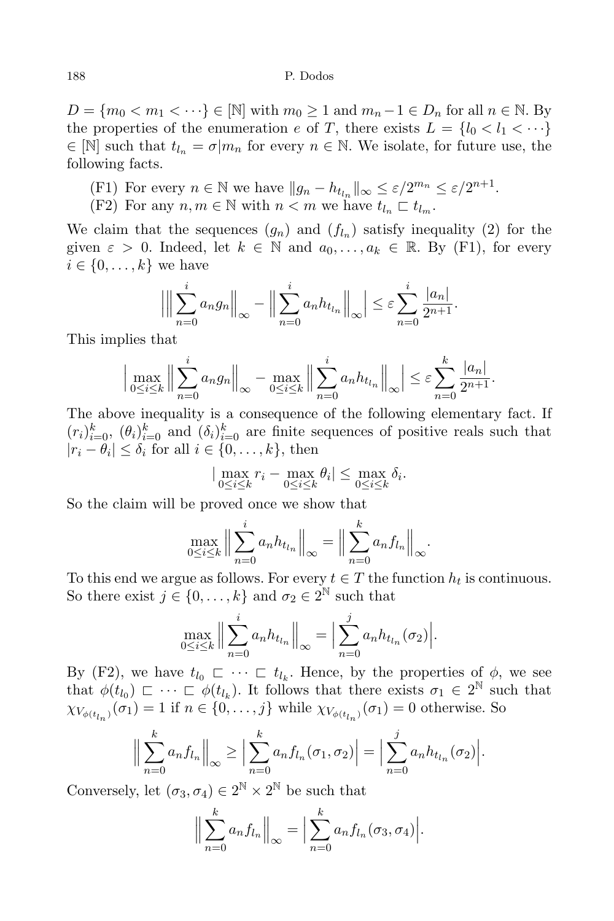$D = \{m_0 < m_1 < \cdots\} \in [\mathbb{N}]$  with  $m_0 \geq 1$  and  $m_n - 1 \in D_n$  for all  $n \in \mathbb{N}$ . By the properties of the enumeration e of T, there exists  $L = \{l_0 < l_1 < \cdots \}$  $\in$  [N] such that  $t_{l_n} = \sigma | m_n$  for every  $n \in \mathbb{N}$ . We isolate, for future use, the following facts.

- (F1) For every  $n \in \mathbb{N}$  we have  $||g_n h_{t_{l_n}}||_{\infty} \leq \varepsilon/2^{m_n} \leq \varepsilon/2^{n+1}$ .
- (F2) For any  $n, m \in \mathbb{N}$  with  $n < m$  we have  $t_{l_n} \subset t_{l_m}$ .

We claim that the sequences  $(g_n)$  and  $(f_{l_n})$  satisfy inequality (2) for the given  $\varepsilon > 0$ . Indeed, let  $k \in \mathbb{N}$  and  $a_0, \ldots, a_k \in \mathbb{R}$ . By (F1), for every  $i \in \{0, \ldots, k\}$  we have

$$
\left| \Big\| \sum_{n=0}^{i} a_n g_n \Big\|_{\infty} - \Big\| \sum_{n=0}^{i} a_n h_{t_{l_n}} \Big\|_{\infty} \right| \leq \varepsilon \sum_{n=0}^{i} \frac{|a_n|}{2^{n+1}}.
$$

This implies that

$$
\Big|\max_{0\leq i\leq k}\Big\|\sum_{n=0}^i a_n g_n\Big\|_{\infty} - \max_{0\leq i\leq k}\Big\|\sum_{n=0}^i a_n h_{t_{l_n}}\Big\|_{\infty}\Big|\leq \varepsilon \sum_{n=0}^k \frac{|a_n|}{2^{n+1}}.
$$

The above inequality is a consequence of the following elementary fact. If  $(r_i)_{i=0}^k$ ,  $(\theta_i)_{i=0}^k$  and  $(\delta_i)_{i=0}^k$  are finite sequences of positive reals such that  $|r_i - \theta_i| \leq \delta_i$  for all  $i \in \{0, \ldots, k\}$ , then

$$
|\max_{0\leq i\leq k} r_i - \max_{0\leq i\leq k} \theta_i| \leq \max_{0\leq i\leq k} \delta_i.
$$

So the claim will be proved once we show that

$$
\max_{0 \le i \le k} \left\| \sum_{n=0}^{i} a_n h_{t_{l_n}} \right\|_{\infty} = \left\| \sum_{n=0}^{k} a_n f_{l_n} \right\|_{\infty}.
$$

To this end we argue as follows. For every  $t \in T$  the function  $h_t$  is continuous. So there exist  $j \in \{0, \ldots, k\}$  and  $\sigma_2 \in 2^{\mathbb{N}}$  such that

$$
\max_{0 \le i \le k} \Big\| \sum_{n=0}^{i} a_n h_{t_{l_n}} \Big\|_{\infty} = \Big| \sum_{n=0}^{j} a_n h_{t_{l_n}}(\sigma_2) \Big|.
$$

By (F2), we have  $t_{l_0} \subset \cdots \subset t_{l_k}$ . Hence, by the properties of  $\phi$ , we see that  $\phi(t_{l_0}) \subset \cdots \subset \phi(t_{l_k})$ . It follows that there exists  $\sigma_1 \in 2^{\mathbb{N}}$  such that  $\chi_{V_{\phi(t_{l_n})}}(\sigma_1) = 1$  if  $n \in \{0, \ldots, j\}$  while  $\chi_{V_{\phi(t_{l_n})}}(\sigma_1) = 0$  otherwise. So

$$
\Big\|\sum_{n=0}^k a_n f_{l_n}\Big\|_{\infty} \ge \Big|\sum_{n=0}^k a_n f_{l_n}(\sigma_1, \sigma_2)\Big| = \Big|\sum_{n=0}^j a_n h_{t_{l_n}}(\sigma_2)\Big|.
$$

Conversely, let  $(\sigma_3, \sigma_4) \in 2^{\mathbb{N}} \times 2^{\mathbb{N}}$  be such that

$$
\Big\|\sum_{n=0}^k a_n f_{l_n}\Big\|_{\infty} = \Big|\sum_{n=0}^k a_n f_{l_n}(\sigma_3, \sigma_4)\Big|.
$$